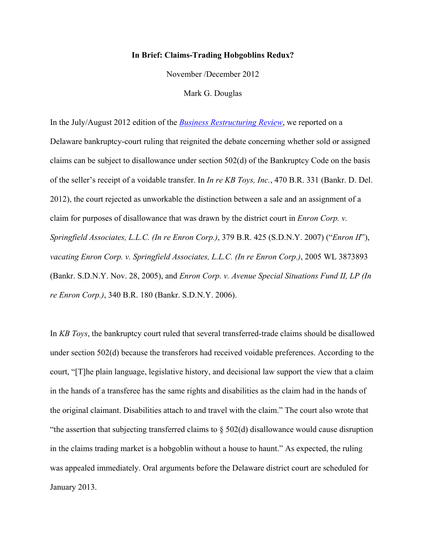## **In Brief: Claims-Trading Hobgoblins Redux?**

November /December 2012

Mark G. Douglas

In the July/August 2012 edition of the *Business Restructuring Review*, we reported on a Delaware bankruptcy-court ruling that reignited the debate concerning whether sold or assigned claims can be subject to disallowance under section 502(d) of the Bankruptcy Code on the basis of the seller's receipt of a voidable transfer. In *In re KB Toys, Inc.*, 470 B.R. 331 (Bankr. D. Del. 2012), the court rejected as unworkable the distinction between a sale and an assignment of a claim for purposes of disallowance that was drawn by the district court in *Enron Corp. v. Springfield Associates, L.L.C. (In re Enron Corp.)*, 379 B.R. 425 (S.D.N.Y. 2007) ("*Enron II*"), *vacating Enron Corp. v. Springfield Associates, L.L.C. (In re Enron Corp.)*, 2005 WL 3873893 (Bankr. S.D.N.Y. Nov. 28, 2005), and *Enron Corp. v. Avenue Special Situations Fund II, LP (In re Enron Corp.)*, 340 B.R. 180 (Bankr. S.D.N.Y. 2006).

In *KB Toys*, the bankruptcy court ruled that several transferred-trade claims should be disallowed under section 502(d) because the transferors had received voidable preferences. According to the court, "[T]he plain language, legislative history, and decisional law support the view that a claim in the hands of a transferee has the same rights and disabilities as the claim had in the hands of the original claimant. Disabilities attach to and travel with the claim." The court also wrote that "the assertion that subjecting transferred claims to § 502(d) disallowance would cause disruption in the claims trading market is a hobgoblin without a house to haunt." As expected, the ruling was appealed immediately. Oral arguments before the Delaware district court are scheduled for January 2013.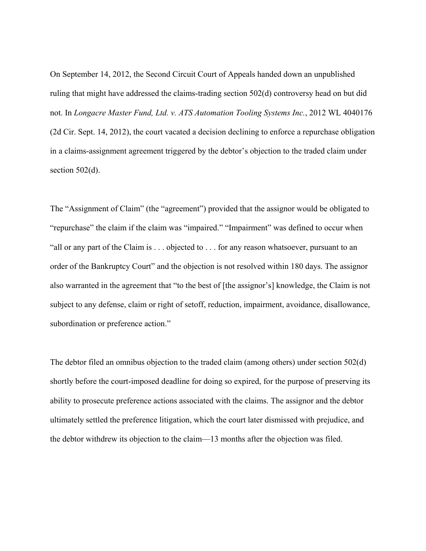On September 14, 2012, the Second Circuit Court of Appeals handed down an unpublished ruling that might have addressed the claims-trading section 502(d) controversy head on but did not. In *Longacre Master Fund, Ltd. v. ATS Automation Tooling Systems Inc.*, 2012 WL 4040176 (2d Cir. Sept. 14, 2012), the court vacated a decision declining to enforce a repurchase obligation in a claims-assignment agreement triggered by the debtor's objection to the traded claim under section  $502(d)$ .

The "Assignment of Claim" (the "agreement") provided that the assignor would be obligated to "repurchase" the claim if the claim was "impaired." "Impairment" was defined to occur when "all or any part of the Claim is . . . objected to . . . for any reason whatsoever, pursuant to an order of the Bankruptcy Court" and the objection is not resolved within 180 days. The assignor also warranted in the agreement that "to the best of [the assignor's] knowledge, the Claim is not subject to any defense, claim or right of setoff, reduction, impairment, avoidance, disallowance, subordination or preference action."

The debtor filed an omnibus objection to the traded claim (among others) under section 502(d) shortly before the court-imposed deadline for doing so expired, for the purpose of preserving its ability to prosecute preference actions associated with the claims. The assignor and the debtor ultimately settled the preference litigation, which the court later dismissed with prejudice, and the debtor withdrew its objection to the claim—13 months after the objection was filed.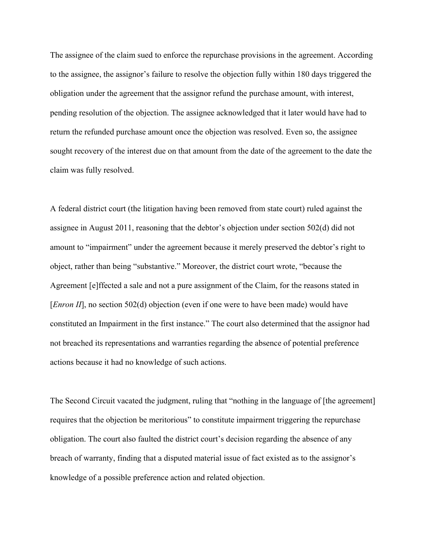The assignee of the claim sued to enforce the repurchase provisions in the agreement. According to the assignee, the assignor's failure to resolve the objection fully within 180 days triggered the obligation under the agreement that the assignor refund the purchase amount, with interest, pending resolution of the objection. The assignee acknowledged that it later would have had to return the refunded purchase amount once the objection was resolved. Even so, the assignee sought recovery of the interest due on that amount from the date of the agreement to the date the claim was fully resolved.

A federal district court (the litigation having been removed from state court) ruled against the assignee in August 2011, reasoning that the debtor's objection under section 502(d) did not amount to "impairment" under the agreement because it merely preserved the debtor's right to object, rather than being "substantive." Moreover, the district court wrote, "because the Agreement [e]ffected a sale and not a pure assignment of the Claim, for the reasons stated in [*Enron II*], no section 502(d) objection (even if one were to have been made) would have constituted an Impairment in the first instance." The court also determined that the assignor had not breached its representations and warranties regarding the absence of potential preference actions because it had no knowledge of such actions.

The Second Circuit vacated the judgment, ruling that "nothing in the language of [the agreement] requires that the objection be meritorious" to constitute impairment triggering the repurchase obligation. The court also faulted the district court's decision regarding the absence of any breach of warranty, finding that a disputed material issue of fact existed as to the assignor's knowledge of a possible preference action and related objection.